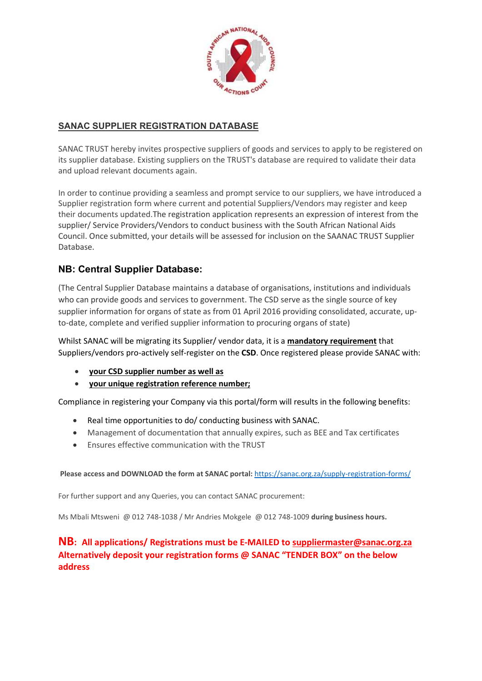

# SANAC SUPPLIER REGISTRATION DATABASE

SANAC TRUST hereby invites prospective suppliers of goods and services to apply to be registered on its supplier database. Existing suppliers on the TRUST's database are required to validate their data and upload relevant documents again.

In order to continue providing a seamless and prompt service to our suppliers, we have introduced a Supplier registration form where current and potential Suppliers/Vendors may register and keep their documents updated.The registration application represents an expression of interest from the supplier/ Service Providers/Vendors to conduct business with the South African National Aids Council. Once submitted, your details will be assessed for inclusion on the SAANAC TRUST Supplier Database.

## NB: Central Supplier Database:

(The Central Supplier Database maintains a database of organisations, institutions and individuals who can provide goods and services to government. The CSD serve as the single source of key supplier information for organs of state as from 01 April 2016 providing consolidated, accurate, upto-date, complete and verified supplier information to procuring organs of state)

Whilst SANAC will be migrating its Supplier/ vendor data, it is a mandatory requirement that Suppliers/vendors pro-actively self-register on the CSD. Once registered please provide SANAC with:

- your CSD supplier number as well as
- your unique registration reference number;

Compliance in registering your Company via this portal/form will results in the following benefits:

- Real time opportunities to do/ conducting business with SANAC.
- Management of documentation that annually expires, such as BEE and Tax certificates
- Ensures effective communication with the TRUST

Please access and DOWNLOAD the form at SANAC portal: https://sanac.org.za/supply-registration-forms/

For further support and any Queries, you can contact SANAC procurement:

Ms Mbali Mtsweni @ 012 748-1038 / Mr Andries Mokgele @ 012 748-1009 during business hours.

## NB: All applications/ Registrations must be E-MAILED to suppliermaster@sanac.org.za Alternatively deposit your registration forms @ SANAC "TENDER BOX" on the below address